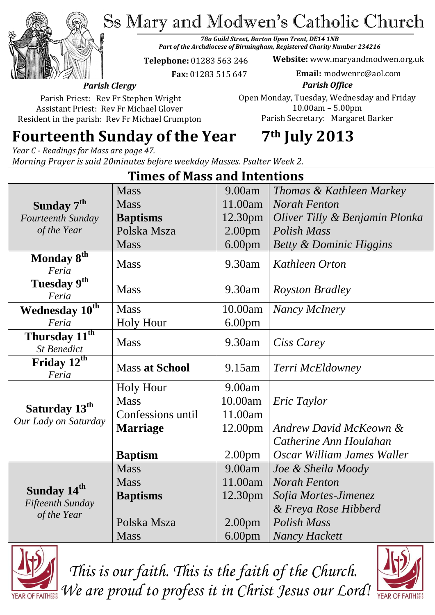Ss Mary and Modwen's Catholic Church



*78a Guild Street, Burton Upon Trent, DE14 1NB Part of the Archdiocese of Birmingham, Registered Charity Number 234216*

**Telephone:** 01283 563 246

 **Fax:** 01283 515 647

**Website:** www.maryandmodwen.org.uk **Email:** modwenrc@aol.com

*Parish Clergy* Parish Priest: Rev Fr Stephen Wright

Assistant Priest: Rev Fr Michael Glover Resident in the parish: Rev Fr Michael Crumpton

*Parish Office* Open Monday, Tuesday, Wednesday and Friday 10.00am – 5.00pm Parish Secretary:Margaret Barker

# **Fourteenth Sunday of the Year 7th July 2013**

*Year C - Readings for Mass are page 47. Morning Prayer is said 20minutes before weekday Masses. Psalter Week 2.*

| <b>Times of Mass and Intentions</b>                        |                       |                     |                                    |
|------------------------------------------------------------|-----------------------|---------------------|------------------------------------|
|                                                            | <b>Mass</b>           | 9.00am              | Thomas & Kathleen Markey           |
| Sunday 7 <sup>th</sup>                                     | <b>Mass</b>           | 11.00am             | <b>Norah Fenton</b>                |
| Fourteenth Sunday                                          | <b>Baptisms</b>       | 12.30pm             | Oliver Tilly & Benjamin Plonka     |
| of the Year                                                | Polska Msza           | 2.00 <sub>pm</sub>  | Polish Mass                        |
|                                                            | <b>Mass</b>           | 6.00 <sub>pm</sub>  | <b>Betty &amp; Dominic Higgins</b> |
| Monday 8th<br>Feria                                        | <b>Mass</b>           | 9.30am              | Kathleen Orton                     |
| Tuesday 9th<br>Feria                                       | <b>Mass</b>           | 9.30am              | <b>Royston Bradley</b>             |
| Wednesday $10^{\overline{th}}$                             | <b>Mass</b>           | 10.00am             | Nancy McInery                      |
| Feria                                                      | <b>Holy Hour</b>      | 6.00 <sub>pm</sub>  |                                    |
| Thursday 11 <sup>th</sup><br><b>St Benedict</b>            | <b>Mass</b>           | 9.30am              | Ciss Carey                         |
| Friday $12^{th}$<br>Feria                                  | <b>Mass at School</b> | 9.15am              | Terri McEldowney                   |
| Saturday 13 <sup>th</sup><br>Our Lady on Saturday          | <b>Holy Hour</b>      | 9.00am              |                                    |
|                                                            | <b>Mass</b>           | 10.00am             | Eric Taylor                        |
|                                                            | Confessions until     | 11.00am             |                                    |
|                                                            | <b>Marriage</b>       | 12.00pm             | <b>Andrew David McKeown &amp;</b>  |
|                                                            |                       |                     | Catherine Ann Houlahan             |
|                                                            | <b>Baptism</b>        | 2.00 <sub>pm</sub>  | Oscar William James Waller         |
| Sunday 14 <sup>th</sup><br>Fifteenth Sunday<br>of the Year | <b>Mass</b>           | 9.00am              | Joe & Sheila Moody                 |
|                                                            | <b>Mass</b>           | 11.00am             | Norah Fenton                       |
|                                                            | <b>Baptisms</b>       | 12.30 <sub>pm</sub> | Sofia Mortes-Jimenez               |
|                                                            |                       |                     | & Freya Rose Hibberd               |
|                                                            | Polska Msza           | 2.00 <sub>pm</sub>  | <b>Polish Mass</b>                 |
|                                                            | <b>Mass</b>           | 6.00 <sub>pm</sub>  | <b>Nancy Hackett</b>               |



*This is our faith. This is the faith of the Church. We are proud to profess it in Christ Jesus our Lord!*

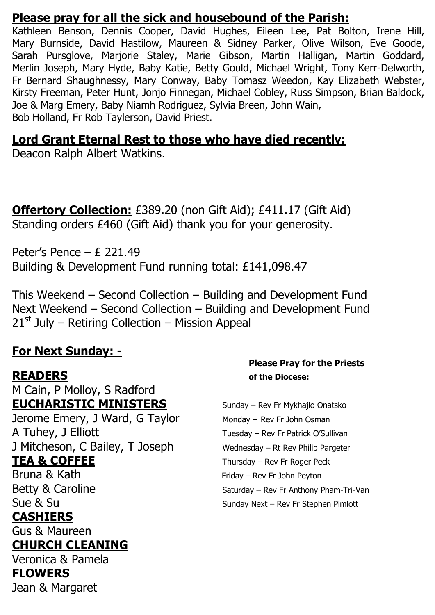### **Please pray for all the sick and housebound of the Parish:**

Kathleen Benson, Dennis Cooper, David Hughes, Eileen Lee, Pat Bolton, Irene Hill, Mary Burnside, David Hastilow, Maureen & Sidney Parker, Olive Wilson, Eve Goode, Sarah Pursglove, Marjorie Staley, Marie Gibson, Martin Halligan, Martin Goddard, Merlin Joseph, Mary Hyde, Baby Katie, Betty Gould, Michael Wright, Tony Kerr-Delworth, Fr Bernard Shaughnessy, Mary Conway, Baby Tomasz Weedon, Kay Elizabeth Webster, Kirsty Freeman, Peter Hunt, Jonjo Finnegan, Michael Cobley, Russ Simpson, Brian Baldock, Joe & Marg Emery, Baby Niamh Rodriguez, Sylvia Breen, John Wain, Bob Holland, Fr Rob Taylerson, David Priest.

## **Lord Grant Eternal Rest to those who have died recently:**

Deacon Ralph Albert Watkins.

**Offertory Collection:** £389.20 (non Gift Aid); £411.17 (Gift Aid) Standing orders £460 (Gift Aid) thank you for your generosity.

Peter's Pence – £ 221.49 Building & Development Fund running total: £141,098.47

This Weekend – Second Collection – Building and Development Fund Next Weekend – Second Collection – Building and Development Fund  $21<sup>st</sup>$  July – Retiring Collection – Mission Appeal

## **For Next Sunday: -**

M Cain, P Molloy, S Radford **EUCHARISTIC MINISTERS** Sunday – Rev Fr Mykhajlo Onatsko Jerome Emery, J Ward, G Taylor Monday – Rev Fr John Osman A Tuhey, J Elliott Tuesday – Rev Fr Patrick O'Sullivan J Mitcheson, C Bailey, T Joseph Wednesday - Rt Rev Philip Pargeter **TEA & COFFEE** Thursday – Rev Fr Roger Peck Bruna & Kath Friday – Rev Fr John Peyton Betty & Caroline Saturday – Rev Fr Anthony Pham-Tri-Van Sue & Su **CASHIERS** Gus & Maureen

## **CHURCH CLEANING**

Veronica & Pamela

#### **FLOWERS**

Jean & Margaret

#### **Please Pray for the Priests READERS of the Diocese:**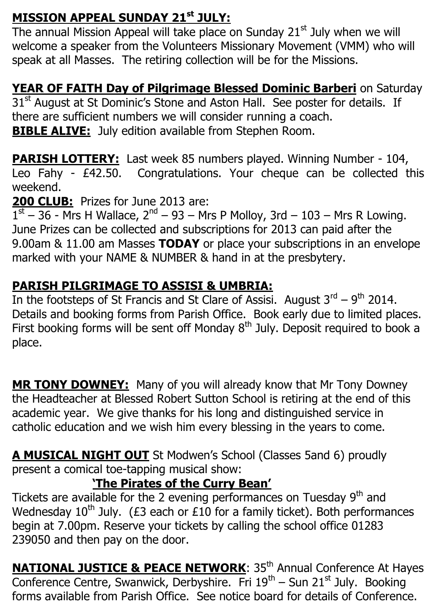## **MISSION APPEAL SUNDAY 21st JULY:**

The annual Mission Appeal will take place on Sunday  $21<sup>st</sup>$  July when we will welcome a speaker from the Volunteers Missionary Movement (VMM) who will speak at all Masses. The retiring collection will be for the Missions.

## **YEAR OF FAITH Day of Pilgrimage Blessed Dominic Barberi** on Saturday

31<sup>st</sup> August at St Dominic's Stone and Aston Hall. See poster for details. If there are sufficient numbers we will consider running a coach. **BIBLE ALIVE:** July edition available from Stephen Room.

**PARISH LOTTERY:** Last week 85 numbers played. Winning Number - 104, Leo Fahy - £42.50. Congratulations. Your cheque can be collected this weekend.

**200 CLUB:** Prizes for June 2013 are:

 $1<sup>st</sup> - 36$  - Mrs H Wallace,  $2<sup>nd</sup> - 93 - Mrs$  P Molloy, 3rd - 103 - Mrs R Lowing. June Prizes can be collected and subscriptions for 2013 can paid after the 9.00am & 11.00 am Masses **TODAY** or place your subscriptions in an envelope marked with your NAME & NUMBER & hand in at the presbytery.

## **PARISH PILGRIMAGE TO ASSISI & UMBRIA:**

In the footsteps of St Francis and St Clare of Assisi. August  $3^{\text{rd}} - 9^{\text{th}}$  2014. Details and booking forms from Parish Office. Book early due to limited places. First booking forms will be sent off Monday  $8<sup>th</sup>$  July. Deposit required to book a place.

**MR TONY DOWNEY:** Many of you will already know that Mr Tony Downey the Headteacher at Blessed Robert Sutton School is retiring at the end of this academic year. We give thanks for his long and distinguished service in catholic education and we wish him every blessing in the years to come.

**A MUSICAL NIGHT OUT** St Modwen's School (Classes 5and 6) proudly present a comical toe-tapping musical show:

## **'The Pirates of the Curry Bean'**

Tickets are available for the 2 evening performances on Tuesday 9<sup>th</sup> and Wednesday  $10^{th}$  July. (£3 each or £10 for a family ticket). Both performances begin at 7.00pm. Reserve your tickets by calling the school office 01283 239050 and then pay on the door.

**NATIONAL JUSTICE & PEACE NETWORK:** 35<sup>th</sup> Annual Conference At Hayes Conference Centre, Swanwick, Derbyshire. Fri 19<sup>th</sup> – Sun 21<sup>st</sup> July. Booking forms available from Parish Office. See notice board for details of Conference.